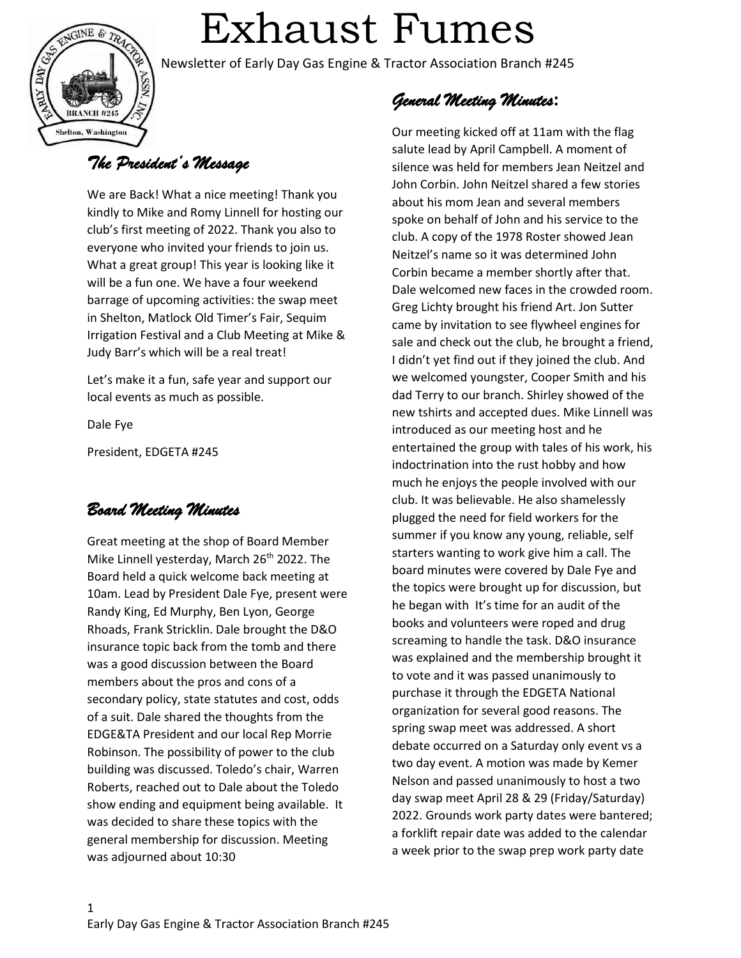

# Exhaust Fumes

Newsletter of Early Day Gas Engine & Tractor Association Branch #245

# *The President's Message*

We are Back! What a nice meeting! Thank you kindly to Mike and Romy Linnell for hosting our club's first meeting of 2022. Thank you also to everyone who invited your friends to join us. What a great group! This year is looking like it will be a fun one. We have a four weekend barrage of upcoming activities: the swap meet in Shelton, Matlock Old Timer's Fair, Sequim Irrigation Festival and a Club Meeting at Mike & Judy Barr's which will be a real treat!

Let's make it a fun, safe year and support our local events as much as possible.

Dale Fye

President, EDGETA #245

## *Board Meeting Minutes*

Great meeting at the shop of Board Member Mike Linnell yesterday, March 26<sup>th</sup> 2022. The Board held a quick welcome back meeting at 10am. Lead by President Dale Fye, present were Randy King, Ed Murphy, Ben Lyon, George Rhoads, Frank Stricklin. Dale brought the D&O insurance topic back from the tomb and there was a good discussion between the Board members about the pros and cons of a secondary policy, state statutes and cost, odds of a suit. Dale shared the thoughts from the EDGE&TA President and our local Rep Morrie Robinson. The possibility of power to the club building was discussed. Toledo's chair, Warren Roberts, reached out to Dale about the Toledo show ending and equipment being available. It was decided to share these topics with the general membership for discussion. Meeting was adjourned about 10:30

*General Meeting Minutes***:** 

Our meeting kicked off at 11am with the flag salute lead by April Campbell. A moment of silence was held for members Jean Neitzel and John Corbin. John Neitzel shared a few stories about his mom Jean and several members spoke on behalf of John and his service to the club. A copy of the 1978 Roster showed Jean Neitzel's name so it was determined John Corbin became a member shortly after that. Dale welcomed new faces in the crowded room. Greg Lichty brought his friend Art. Jon Sutter came by invitation to see flywheel engines for sale and check out the club, he brought a friend, I didn't yet find out if they joined the club. And we welcomed youngster, Cooper Smith and his dad Terry to our branch. Shirley showed of the new tshirts and accepted dues. Mike Linnell was introduced as our meeting host and he entertained the group with tales of his work, his indoctrination into the rust hobby and how much he enjoys the people involved with our club. It was believable. He also shamelessly plugged the need for field workers for the summer if you know any young, reliable, self starters wanting to work give him a call. The board minutes were covered by Dale Fye and the topics were brought up for discussion, but he began with It's time for an audit of the books and volunteers were roped and drug screaming to handle the task. D&O insurance was explained and the membership brought it to vote and it was passed unanimously to purchase it through the EDGETA National organization for several good reasons. The spring swap meet was addressed. A short debate occurred on a Saturday only event vs a two day event. A motion was made by Kemer Nelson and passed unanimously to host a two day swap meet April 28 & 29 (Friday/Saturday) 2022. Grounds work party dates were bantered; a forklift repair date was added to the calendar a week prior to the swap prep work party date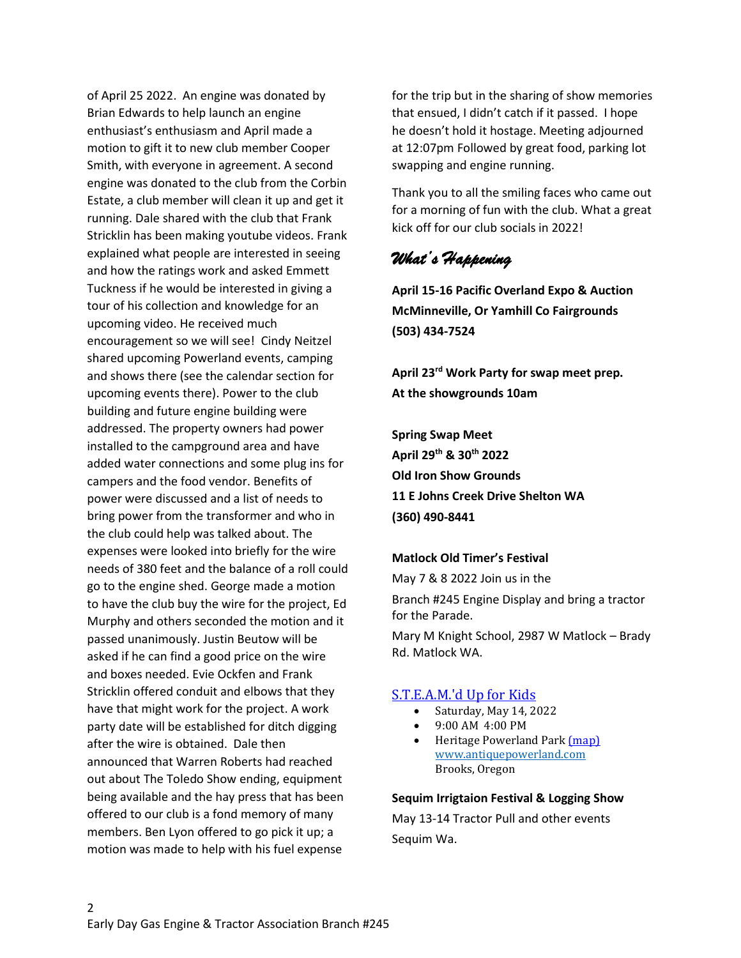of April 25 2022. An engine was donated by Brian Edwards to help launch an engine enthusiast's enthusiasm and April made a motion to gift it to new club member Cooper Smith, with everyone in agreement. A second engine was donated to the club from the Corbin Estate, a club member will clean it up and get it running. Dale shared with the club that Frank Stricklin has been making youtube videos. Frank explained what people are interested in seeing and how the ratings work and asked Emmett Tuckness if he would be interested in giving a tour of his collection and knowledge for an upcoming video. He received much encouragement so we will see! Cindy Neitzel shared upcoming Powerland events, camping and shows there (see the calendar section for upcoming events there). Power to the club building and future engine building were addressed. The property owners had power installed to the campground area and have added water connections and some plug ins for campers and the food vendor. Benefits of power were discussed and a list of needs to bring power from the transformer and who in the club could help was talked about. The expenses were looked into briefly for the wire needs of 380 feet and the balance of a roll could go to the engine shed. George made a motion to have the club buy the wire for the project, Ed Murphy and others seconded the motion and it passed unanimously. Justin Beutow will be asked if he can find a good price on the wire and boxes needed. Evie Ockfen and Frank Stricklin offered conduit and elbows that they have that might work for the project. A work party date will be established for ditch digging after the wire is obtained. Dale then announced that Warren Roberts had reached out about The Toledo Show ending, equipment being available and the hay press that has been offered to our club is a fond memory of many members. Ben Lyon offered to go pick it up; a motion was made to help with his fuel expense

for the trip but in the sharing of show memories that ensued, I didn't catch if it passed. I hope he doesn't hold it hostage. Meeting adjourned at 12:07pm Followed by great food, parking lot swapping and engine running.

Thank you to all the smiling faces who came out for a morning of fun with the club. What a great kick off for our club socials in 2022!

## *What's Happening*

**April 15-16 Pacific Overland Expo & Auction McMinneville, Or Yamhill Co Fairgrounds (503) 434-7524**

**April 23rd Work Party for swap meet prep. At the showgrounds 10am**

**Spring Swap Meet April 29th & 30th 2022 Old Iron Show Grounds 11 E Johns Creek Drive Shelton WA (360) 490-8441** 

#### **Matlock Old Timer's Festival**

May 7 & 8 2022 Join us in the Branch #245 Engine Display and bring a tractor for the Parade.

Mary M Knight School, 2987 W Matlock – Brady Rd. Matlock WA.

#### [S.T.E.A.M.'d Up for Kids](https://www.antiquepowerland.com/events/steamd-up-for-kids)

- Saturday, May 14, 2022
- 9:00 AM 4:00 PM
- Heritage Powerland Park [\(map\)](http://maps.google.com/?q=3995%20Brooklake%20Road%20Northeast%20Brooks,%20OR,%2097303%20United%20States) [www.antiquepowerland.com](http://www.antiquepowerland.com/) Brooks, Oregon

#### **Sequim Irrigtaion Festival & Logging Show**

May 13-14 Tractor Pull and other events Sequim Wa.